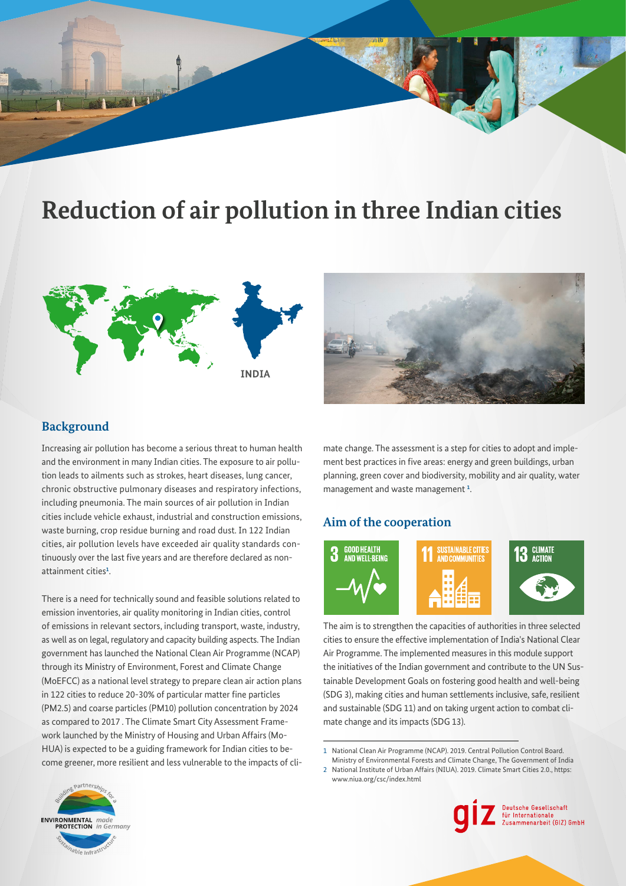# **Reduction of air pollution in three Indian cities**





# **Background**

Increasing air pollution has become a serious threat to human health and the environment in many Indian cities. The exposure to air pollution leads to ailments such as strokes, heart diseases, lung cancer, chronic obstructive pulmonary diseases and respiratory infections, including pneumonia. The main sources of air pollution in Indian cities include vehicle exhaust, industrial and construction emissions, waste burning, crop residue burning and road dust. In 122 Indian cities, air pollution levels have exceeded air quality standards continuously over the last five years and are therefore declared as nonattainment cities**[1](#page-1-0)**  .

There is a need for technically sound and feasible solutions related to emission inventories, air quality monitoring in Indian cities, control of emissions in relevant sectors, including transport, waste, industry, as well as on legal, regulatory and capacity building aspects. The Indian government has launched the National Clean Air Programme (NCAP) through its Ministry of Environment, Forest and Climate Change (MoEFCC) as a national level strategy to prepare clean air action plans in 122 cities to reduce 20-30% of particular matter fne particles (PM2.5) and coarse particles (PM10) pollution concentration by 2024 as compared to 2017 . The Climate Smart City Assessment Framework launched by the Ministry of Housing and Urban Affairs (Mo-HUA) is expected to be a guiding framework for Indian cities to become greener, more resilient and less vulnerable to the impacts of climate change. The assessment is a step for cities to adopt and implement best practices in five areas: energy and green buildings, urban planning, green cover and biodiversity, mobility and air quality, water management and waste management **[1](#page-1-0)**  .

# **Aim of the cooperation**



The aim is to strengthen the capacities of authorities in three selected cities to ensure the effective implementation of India's National Clear Air Programme. The implemented measures in this module support the initiatives of the Indian government and contribute to the UN Sustainable Development Goals on fostering good health and well-being (SDG 3), making cities and human settlements inclusive, safe, resilient and sustainable (SDG 11) and on taking urgent action to combat climate change and its impacts (SDG 13).

1 National Clean Air Programme (NCAP). 2019. Central Pollution Control Board.

Ministry of Environmental Forests and Climate Change, The Government of India 2 National Institute of Urban Affairs (NIUA). 2019. Climate Smart Cities 2.0., https: <www.niua.org/csc/index.html>